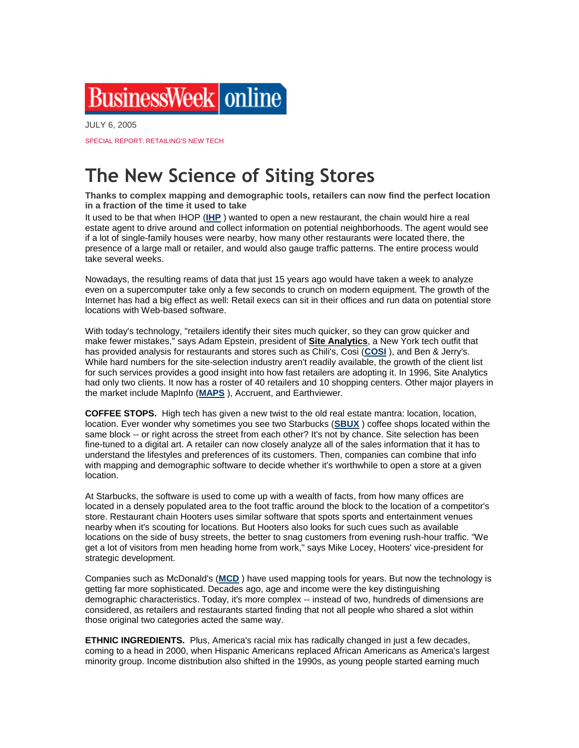## BusinessWeek | online

JULY 6, 2005

SPECIAL REPORT: RETAILING'S NEW TECH

## **The New Science of Siting Stores**

**Thanks to complex mapping and demographic tools, retailers can now find the perfect location in a fraction of the time it used to take**

It used to be that when IHOP (**[IHP](javascript:%20void%20showTicker()** ) wanted to open a new restaurant, the chain would hire a real estate agent to drive around and collect information on potential neighborhoods. The agent would see if a lot of single-family houses were nearby, how many other restaurants were located there, the presence of a large mall or retailer, and would also gauge traffic patterns. The entire process would take several weeks.

Nowadays, the resulting reams of data that just 15 years ago would have taken a week to analyze even on a supercomputer take only a few seconds to crunch on modern equipment. The growth of the Internet has had a big effect as well: Retail execs can sit in their offices and run data on potential store locations with Web-based software.

With today's technology, "retailers identify their sites much quicker, so they can grow quicker and make fewer mistakes," says Adam Epstein, president of **Site Analytics**, a New York tech outfit that has provided analysis for restaurants and stores such as Chili's, Cosi (**[COSI](javascript:%20void%20showTicker()** ), and Ben & Jerry's. While hard numbers for the site-selection industry aren't readily available, the growth of the client list for such services provides a good insight into how fast retailers are adopting it. In 1996, Site Analytics had only two clients. It now has a roster of 40 retailers and 10 shopping centers. Other major players in the market include MapInfo (**[MAPS](javascript:%20void%20showTicker()** ), Accruent, and Earthviewer.

**COFFEE STOPS.** High tech has given a new twist to the old real estate mantra: location, location, location. Ever wonder why sometimes you see two Starbucks (**[SBUX](javascript:%20void%20showTicker()** ) coffee shops located within the same block -- or right across the street from each other? It's not by chance. Site selection has been fine-tuned to a digital art. A retailer can now closely analyze all of the sales information that it has to understand the lifestyles and preferences of its customers. Then, companies can combine that info with mapping and demographic software to decide whether it's worthwhile to open a store at a given location.

At Starbucks, the software is used to come up with a wealth of facts, from how many offices are located in a densely populated area to the foot traffic around the block to the location of a competitor's store. Restaurant chain Hooters uses similar software that spots sports and entertainment venues nearby when it's scouting for locations. But Hooters also looks for such cues such as available locations on the side of busy streets, the better to snag customers from evening rush-hour traffic. "We get a lot of visitors from men heading home from work," says Mike Locey, Hooters' vice-president for strategic development.

Companies such as McDonald's (**[MCD](javascript:%20void%20showTicker()** ) have used mapping tools for years. But now the technology is getting far more sophisticated. Decades ago, age and income were the key distinguishing demographic characteristics. Today, it's more complex -- instead of two, hundreds of dimensions are considered, as retailers and restaurants started finding that not all people who shared a slot within those original two categories acted the same way.

**ETHNIC INGREDIENTS.** Plus, America's racial mix has radically changed in just a few decades, coming to a head in 2000, when Hispanic Americans replaced African Americans as America's largest minority group. Income distribution also shifted in the 1990s, as young people started earning much